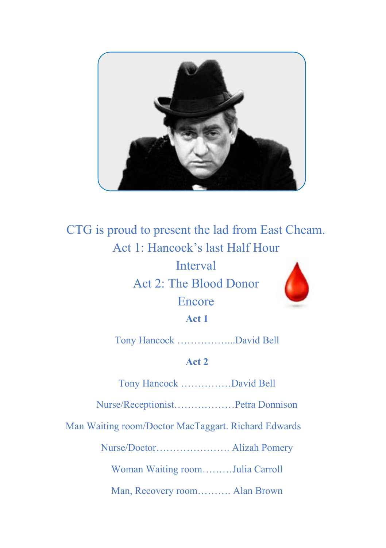

## CTG is proud to present the lad from East Cheam. Act 1: Hancock's last Half Hour **Interval** Act 2: The Blood Donor Encore **Act 1**

Tony Hancock ……………...David Bell

## **Act 2**

Tony Hancock ……………David Bell

Nurse/Receptionist………………Petra Donnison

Man Waiting room/Doctor MacTaggart. Richard Edwards

Nurse/Doctor…………………. Alizah Pomery

Woman Waiting room………Julia Carroll

Man, Recovery room………. Alan Brown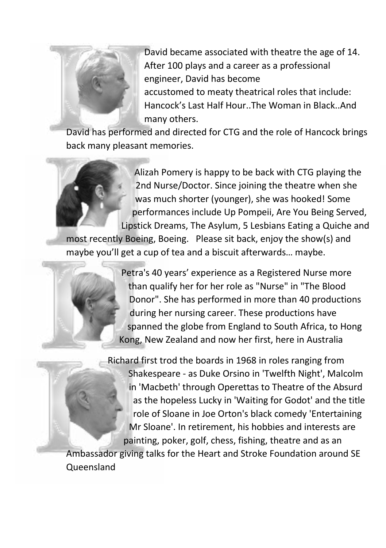

David became associated with theatre the age of 14. After 100 plays and a career as a professional engineer, David has become accustomed to meaty theatrical roles that include: Hancock's Last Half Hour..The Woman in Black..And many others.

David has performed and directed for CTG and the role of Hancock brings back many pleasant memories.

Alizah Pomery is happy to be back with CTG playing the 2nd Nurse/Doctor. Since joining the theatre when she was much shorter (younger), she was hooked! Some performances include Up Pompeii, Are You Being Served, Lipstick Dreams, The Asylum, 5 Lesbians Eating a Quiche and

most recently Boeing, Boeing. Please sit back, enjoy the show(s) and maybe you'll get a cup of tea and a biscuit afterwards… maybe.



Petra's 40 years' experience as a Registered Nurse more than qualify her for her role as "Nurse" in "The Blood Donor". She has performed in more than 40 productions during her nursing career. These productions have spanned the globe from England to South Africa, to Hong Kong, New Zealand and now her first, here in Australia

Richard first trod the boards in 1968 in roles ranging from Shakespeare - as Duke Orsino in 'Twelfth Night', Malcolm in 'Macbeth' through Operettas to Theatre of the Absurd as the hopeless Lucky in 'Waiting for Godot' and the title role of Sloane in Joe Orton's black comedy 'Entertaining Mr Sloane'. In retirement, his hobbies and interests are painting, poker, golf, chess, fishing, theatre and as an

Ambassador giving talks for the Heart and Stroke Foundation around SE Queensland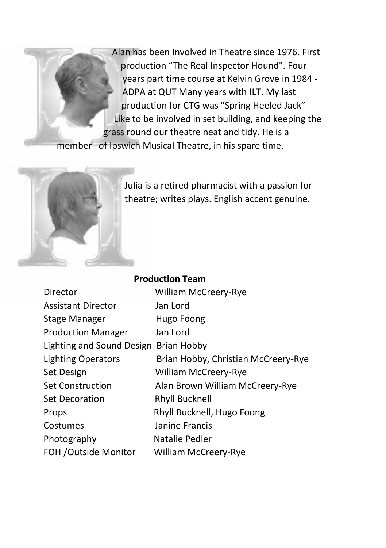Alan has been Involved in Theatre since 1976. First production "The Real Inspector Hound". Four years part time course at Kelvin Grove in 1984 - ADPA at QUT Many years with ILT. My last production for CTG was "Spring Heeled Jack" Like to be involved in set building, and keeping the grass round our theatre neat and tidy. He is a

member of Ipswich Musical Theatre, in his spare time.



Julia is a retired pharmacist with a passion for theatre; writes plays. English accent genuine.

| <b>Production Team</b>                |                                     |
|---------------------------------------|-------------------------------------|
| Director                              | <b>William McCreery-Rye</b>         |
| <b>Assistant Director</b>             | Jan Lord                            |
| Stage Manager                         | Hugo Foong                          |
| <b>Production Manager</b>             | Jan Lord                            |
| Lighting and Sound Design Brian Hobby |                                     |
| Lighting Operators                    | Brian Hobby, Christian McCreery-Rye |
| Set Design                            | <b>William McCreery-Rye</b>         |
| <b>Set Construction</b>               | Alan Brown William McCreery-Rye     |
| Set Decoration                        | <b>Rhyll Bucknell</b>               |
| Props                                 | Rhyll Bucknell, Hugo Foong          |
| Costumes                              | Janine Francis                      |
| Photography                           | Natalie Pedler                      |
| FOH / Outside Monitor                 | <b>William McCreery-Rye</b>         |